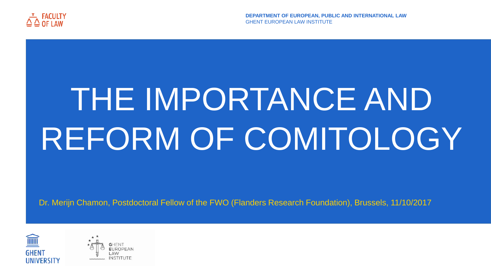# THE IMPORTANCE AND REFORM OF COMITOLOGY

Dr. Merijn Chamon, Postdoctoral Fellow of the FWO (Flanders Research Foundation), Brussels, 11/10/2017





**DEPARTMENT OF EUROPEAN, PUBLIC AND INTERNATIONAL LAW**



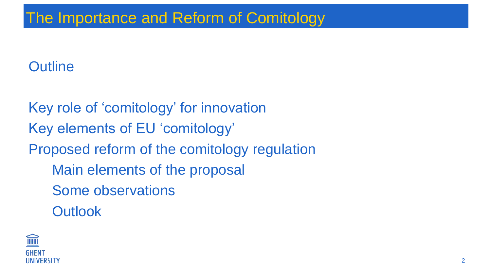### **Outline**

Key role of 'comitology' for innovation Key elements of EU 'comitology' Proposed reform of the comitology regulation Main elements of the proposal Some observations **Outlook** 



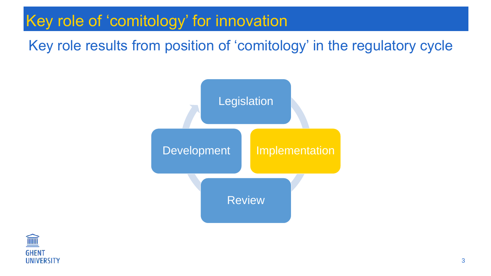### Key role results from position of 'comitology' in the regulatory cycle

## Key role of 'comitology' for innovation Key role of 'comitology' for innovation



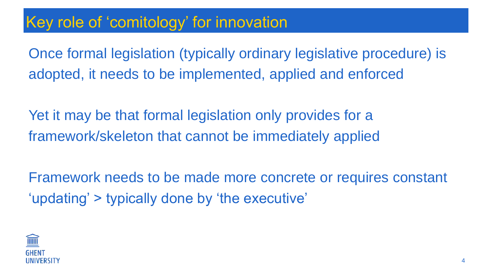Once formal legislation (typically ordinary legislative procedure) is adopted, it needs to be implemented, applied and enforced

Yet it may be that formal legislation only provides for a framework/skeleton that cannot be immediately applied

Framework needs to be made more concrete or requires constant 'updating' > typically done by 'the executive'



### Key role of 'comitology' for innovation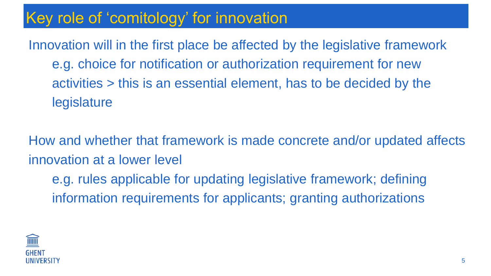Innovation will in the first place be affected by the legislative framework e.g. choice for notification or authorization requirement for new activities > this is an essential element, has to be decided by the legislature

How and whether that framework is made concrete and/or updated affects innovation at a lower level e.g. rules applicable for updating legislative framework; defining information requirements for applicants; granting authorizations

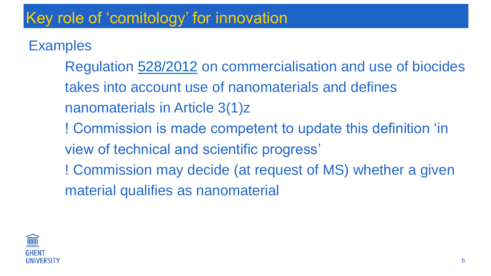### **Examples**

Regulation [528/2012](http://eur-lex.europa.eu/legal-content/EN/TXT/?uri=celex:32012R0528) on commercialisation and use of biocides takes into account use of nanomaterials and defines nanomaterials in Article 3(1)z ! Commission is made competent to update this definition 'in view of technical and scientific progress' ! Commission may decide (at request of MS) whether a given material qualifies as nanomaterial

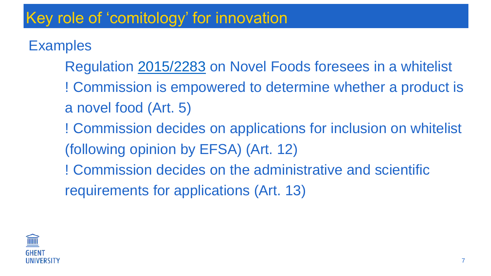**Examples** 

- Regulation [2015/2283](http://eur-lex.europa.eu/legal-content/EN/TXT/?uri=OJ:JOL_2015_327_R_0001) on Novel Foods foresees in a whitelist ! Commission is empowered to determine whether a product is a novel food (Art. 5)
- ! Commission decides on applications for inclusion on whitelist (following opinion by EFSA) (Art. 12)
- ! Commission decides on the administrative and scientific requirements for applications (Art. 13)

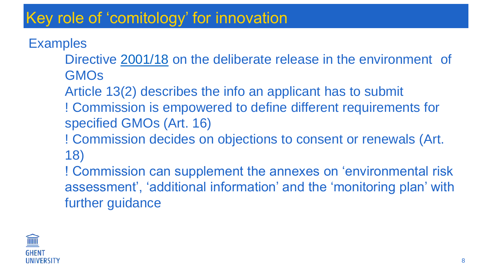**Examples** 

- Directive [2001/18](http://eur-lex.europa.eu/legal-content/EN/TXT/?uri=CELEX:02001L0018-20150402) on the deliberate release in the environment of **GMOS**
- Article 13(2) describes the info an applicant has to submit ! Commission is empowered to define different requirements for specified GMOs (Art. 16)
- ! Commission decides on objections to consent or renewals (Art. 18)
- ! Commission can supplement the annexes on 'environmental risk assessment', 'additional information' and the 'monitoring plan' with further guidance

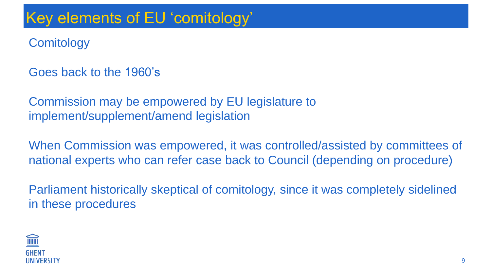### **Comitology**

Goes back to the 1960's

Commission may be empowered by EU legislature to implement/supplement/amend legislation

When Commission was empowered, it was controlled/assisted by committees of national experts who can refer case back to Council (depending on procedure)

Parliament historically skeptical of comitology, since it was completely sidelined in these procedures

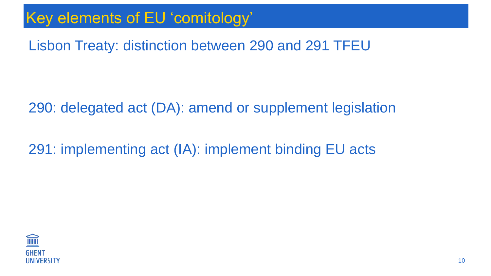### Lisbon Treaty: distinction between 290 and 291 TFEU

290: delegated act (DA): amend or supplement legislation

291: implementing act (IA): implement binding EU acts

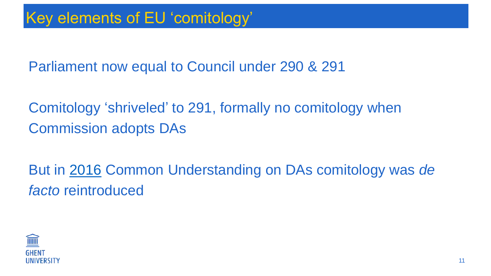Parliament now equal to Council under 290 & 291

Comitology 'shriveled' to 291, formally no comitology when Commission adopts DAs

But in [2016](http://eur-lex.europa.eu/legal-content/EN/TXT/HTML/?uri=CELEX:32016Q0512(01)&from=EN) Common Understanding on DAs comitology was *de facto* reintroduced

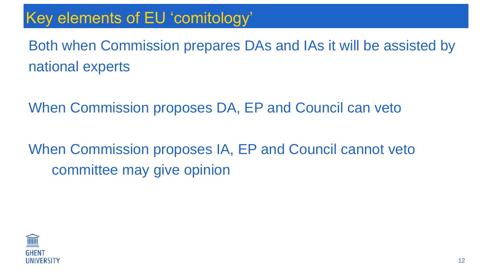Both when Commission prepares DAs and IAs it will be assisted by national experts

When Commission proposes DA, EP and Council can veto

When Commission proposes IA, EP and Council cannot veto committee may give opinion

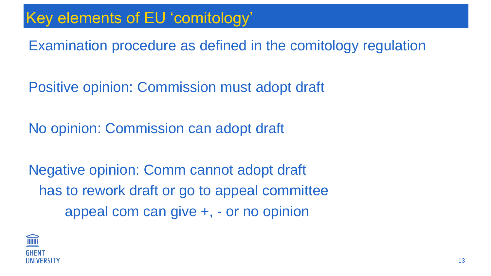Examination procedure as defined in the comitology regulation

Positive opinion: Commission must adopt draft

No opinion: Commission can adopt draft

Negative opinion: Comm cannot adopt draft has to rework draft or go to appeal committee appeal com can give +, - or no opinion



- 
- 
- 
- 
- 
-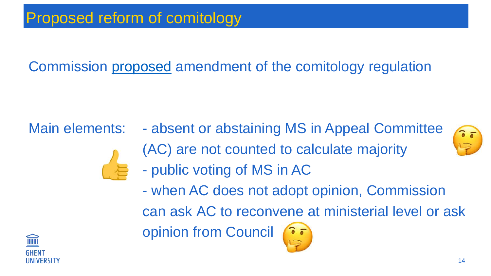### Proposed reform of comitology

Commission [proposed](eur-lex.europa.eu/legal-content/EN/TXT/HTML/?uri=CELEX:52017PC0085&from=EN) amendment of the comitology regulation



Main elements: - absent or abstaining MS in Appeal Committee (AC) are not counted to calculate majority - public voting of MS in AC - when AC does not adopt opinion, Commission can ask AC to reconvene at ministerial level or ask opinion from Council



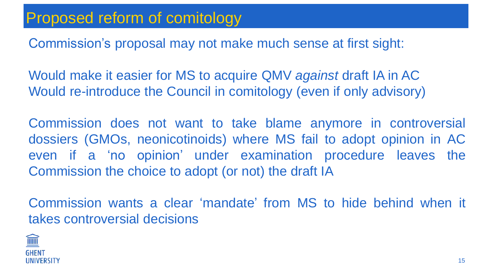### Proposed reform of comitology

Commission's proposal may not make much sense at first sight:

Would make it easier for MS to acquire QMV *against* draft IA in AC Would re-introduce the Council in comitology (even if only advisory)

Commission does not want to take blame anymore in controversial dossiers (GMOs, neonicotinoids) where MS fail to adopt opinion in AC even if a 'no opinion' under examination procedure leaves the Commission the choice to adopt (or not) the draft IA

Commission wants a clear 'mandate' from MS to hide behind when it takes controversial decisions

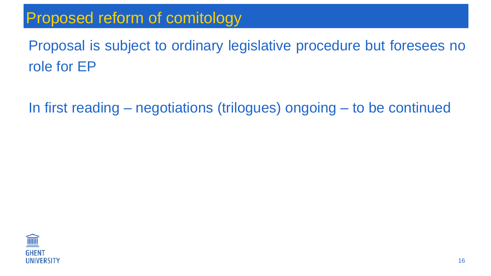### Proposed reform of comitology

Proposal is subject to ordinary legislative procedure but foresees no role for EP

In first reading – negotiations (trilogues) ongoing – to be continued